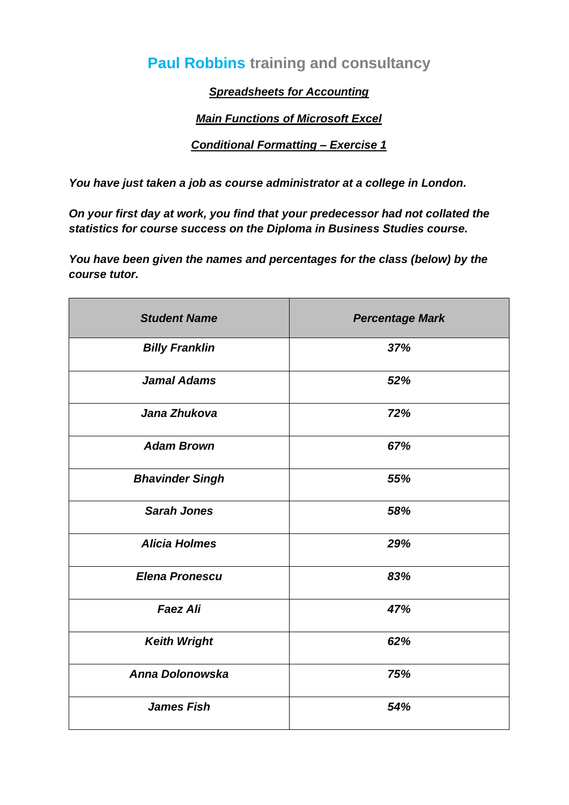# **Paul Robbins training and consultancy**

*Spreadsheets for Accounting*

### *Main Functions of Microsoft Excel*

#### *Conditional Formatting – Exercise 1*

*You have just taken a job as course administrator at a college in London.*

*On your first day at work, you find that your predecessor had not collated the statistics for course success on the Diploma in Business Studies course.*

*You have been given the names and percentages for the class (below) by the course tutor.*

| <b>Student Name</b>    | <b>Percentage Mark</b> |
|------------------------|------------------------|
| <b>Billy Franklin</b>  | 37%                    |
| <b>Jamal Adams</b>     | 52%                    |
| Jana Zhukova           | 72%                    |
| <b>Adam Brown</b>      | 67%                    |
| <b>Bhavinder Singh</b> | 55%                    |
| <b>Sarah Jones</b>     | 58%                    |
| <b>Alicia Holmes</b>   | 29%                    |
| <b>Elena Pronescu</b>  | 83%                    |
| <b>Faez Ali</b>        | 47%                    |
| <b>Keith Wright</b>    | 62%                    |
| Anna Dolonowska        | 75%                    |
| <b>James Fish</b>      | 54%                    |